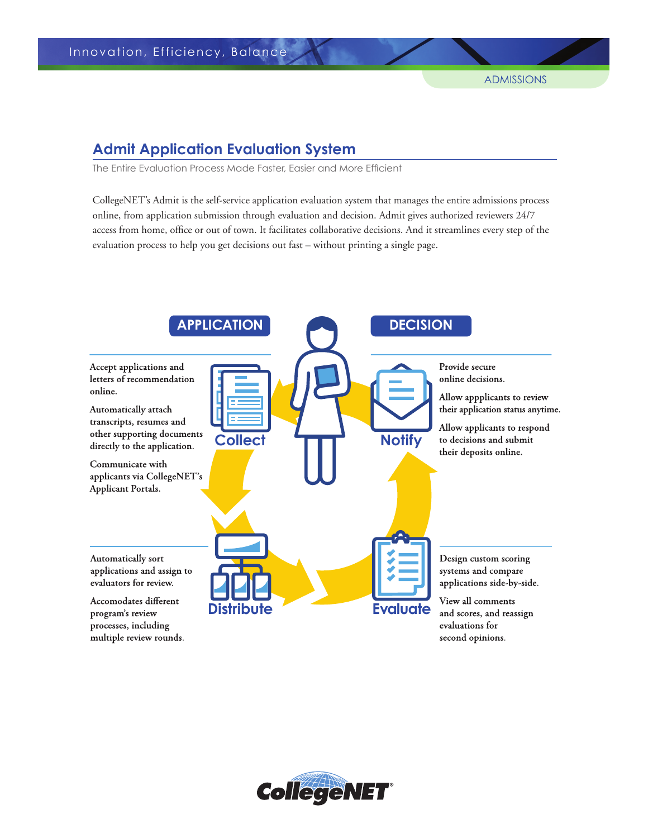# **Admit Application Evaluation System**

The Entire Evaluation Process Made Faster, Easier and More Efficient

CollegeNET's Admit is the self-service application evaluation system that manages the entire admissions process online, from application submission through evaluation and decision. Admit gives authorized reviewers 24/7 access from home, office or out of town. It facilitates collaborative decisions. And it streamlines every step of the evaluation process to help you get decisions out fast – without printing a single page.

**ADMISSIONS**